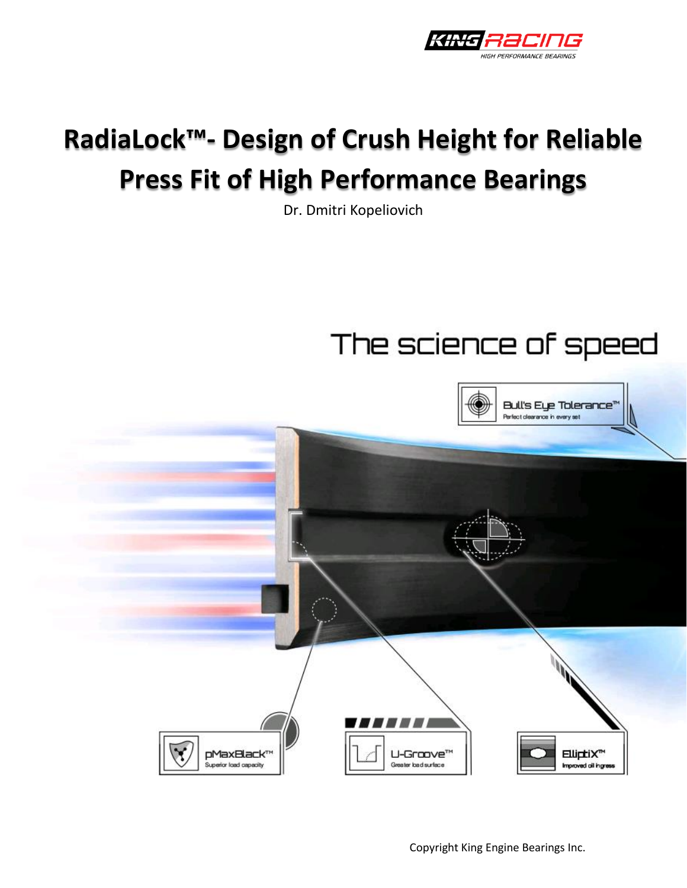

# **RadiaLock™- Design of Crush Height for Reliable Press Fit of High Performance Bearings**

Dr. Dmitri Kopeliovich

## The science of speed



Copyright King Engine Bearings Inc.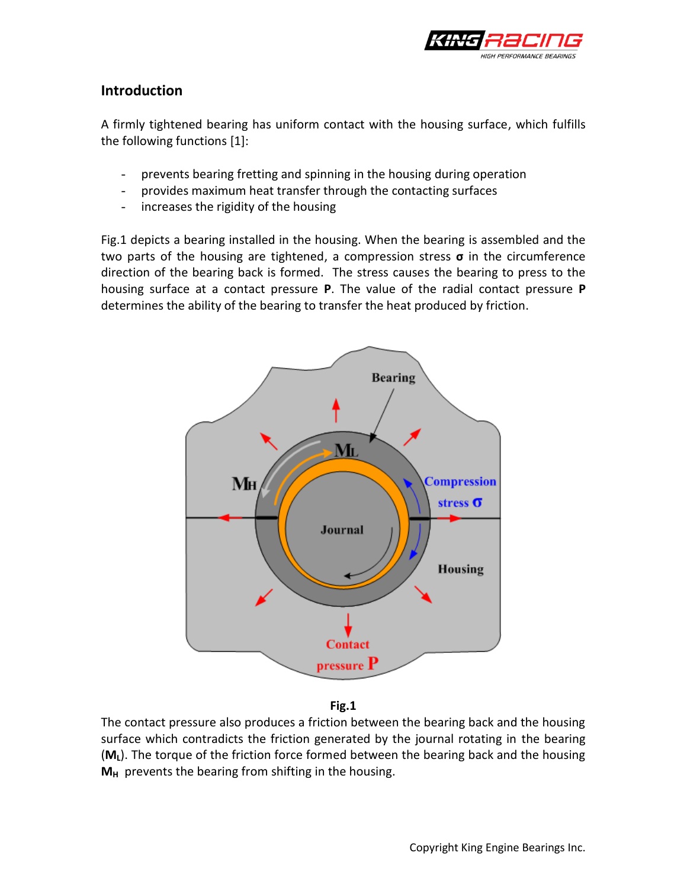

### **Introduction**

A firmly tightened bearing has uniform contact with the housing surface, which fulfills the following functions [1]:

- prevents bearing fretting and spinning in the housing during operation
- provides maximum heat transfer through the contacting surfaces
- increases the rigidity of the housing

Fig.1 depicts a bearing installed in the housing. When the bearing is assembled and the two parts of the housing are tightened, a compression stress **σ** in the circumference direction of the bearing back is formed. The stress causes the bearing to press to the housing surface at a contact pressure **P**. The value of the radial contact pressure **P** determines the ability of the bearing to transfer the heat produced by friction.



**Fig.1**

The contact pressure also produces a friction between the bearing back and the housing surface which contradicts the friction generated by the journal rotating in the bearing (**ML**). The torque of the friction force formed between the bearing back and the housing **M<sup>H</sup>** prevents the bearing from shifting in the housing.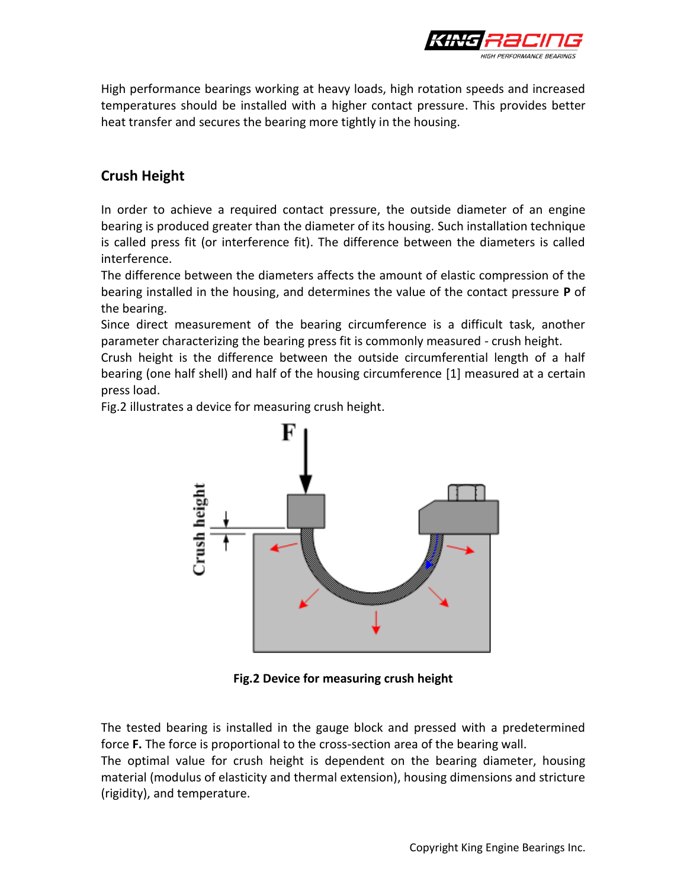

High performance bearings working at heavy loads, high rotation speeds and increased temperatures should be installed with a higher contact pressure. This provides better heat transfer and secures the bearing more tightly in the housing.

## **Crush Height**

In order to achieve a required contact pressure, the outside diameter of an engine bearing is produced greater than the diameter of its housing. Such installation technique is called press fit (or interference fit). The difference between the diameters is called interference.

The difference between the diameters affects the amount of elastic compression of the bearing installed in the housing, and determines the value of the contact pressure **P** of the bearing.

Since direct measurement of the bearing circumference is a difficult task, another parameter characterizing the bearing press fit is commonly measured - crush height.

Crush height is the difference between the outside circumferential length of a half bearing (one half shell) and half of the housing circumference [1] measured at a certain press load.

Fig.2 illustrates a device for measuring crush height.



**Fig.2 Device for measuring crush height**

The tested bearing is installed in the gauge block and pressed with a predetermined force **F.** The force is proportional to the cross-section area of the bearing wall. The optimal value for crush height is dependent on the bearing diameter, housing material (modulus of elasticity and thermal extension), housing dimensions and stricture (rigidity), and temperature.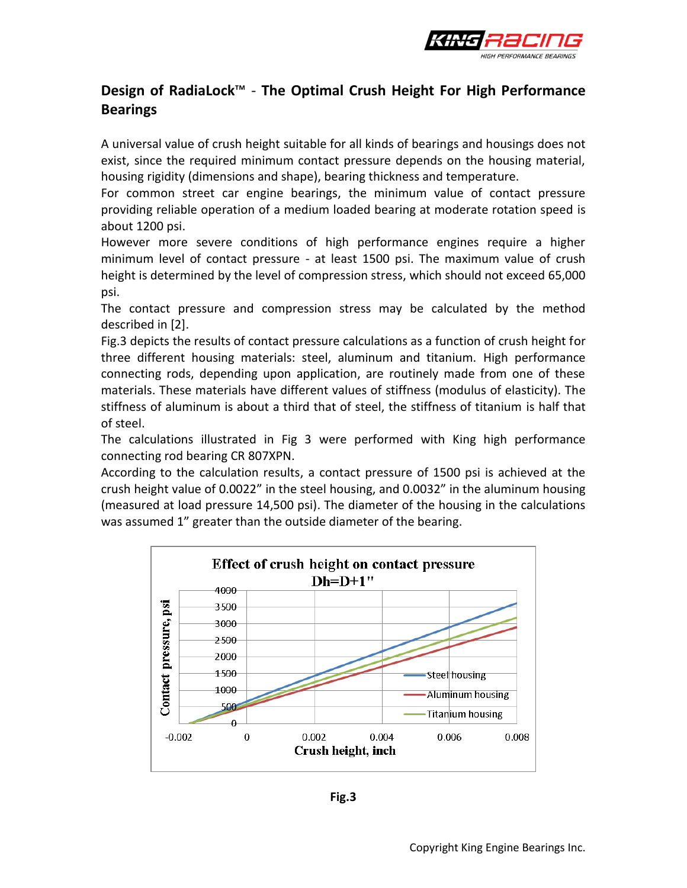

## **Design of RadiaLock**™ - **The Optimal Crush Height For High Performance Bearings**

A universal value of crush height suitable for all kinds of bearings and housings does not exist, since the required minimum contact pressure depends on the housing material, housing rigidity (dimensions and shape), bearing thickness and temperature.

For common street car engine bearings, the minimum value of contact pressure providing reliable operation of a medium loaded bearing at moderate rotation speed is about 1200 psi.

However more severe conditions of high performance engines require a higher minimum level of contact pressure - at least 1500 psi. The maximum value of crush height is determined by the level of compression stress, which should not exceed 65,000 psi.

The contact pressure and compression stress may be calculated by the method described in [2].

Fig.3 depicts the results of contact pressure calculations as a function of crush height for three different housing materials: steel, aluminum and titanium. High performance connecting rods, depending upon application, are routinely made from one of these materials. These materials have different values of stiffness (modulus of elasticity). The stiffness of aluminum is about a third that of steel, the stiffness of titanium is half that of steel.

The calculations illustrated in Fig 3 were performed with King high performance connecting rod bearing CR 807XPN.

According to the calculation results, a contact pressure of 1500 psi is achieved at the crush height value of 0.0022" in the steel housing, and 0.0032" in the aluminum housing (measured at load pressure 14,500 psi). The diameter of the housing in the calculations was assumed 1" greater than the outside diameter of the bearing.



**Fig.3**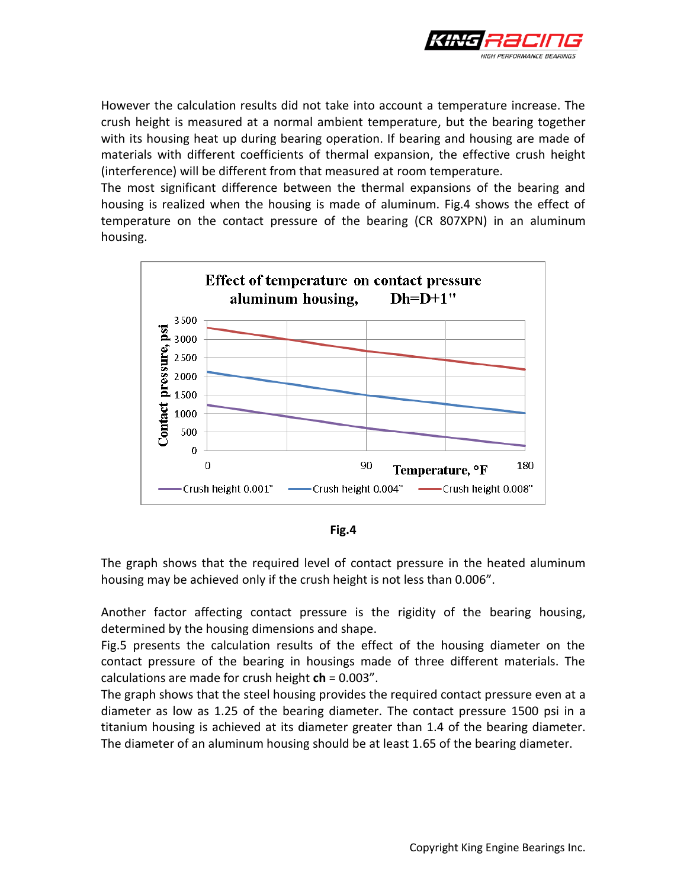

However the calculation results did not take into account a temperature increase. The crush height is measured at a normal ambient temperature, but the bearing together with its housing heat up during bearing operation. If bearing and housing are made of materials with different coefficients of thermal expansion, the effective crush height (interference) will be different from that measured at room temperature.

The most significant difference between the thermal expansions of the bearing and housing is realized when the housing is made of aluminum. Fig.4 shows the effect of temperature on the contact pressure of the bearing (CR 807XPN) in an aluminum housing.





The graph shows that the required level of contact pressure in the heated aluminum housing may be achieved only if the crush height is not less than 0.006".

Another factor affecting contact pressure is the rigidity of the bearing housing, determined by the housing dimensions and shape.

Fig.5 presents the calculation results of the effect of the housing diameter on the contact pressure of the bearing in housings made of three different materials. The calculations are made for crush height **ch** = 0.003".

The graph shows that the steel housing provides the required contact pressure even at a diameter as low as 1.25 of the bearing diameter. The contact pressure 1500 psi in a titanium housing is achieved at its diameter greater than 1.4 of the bearing diameter. The diameter of an aluminum housing should be at least 1.65 of the bearing diameter.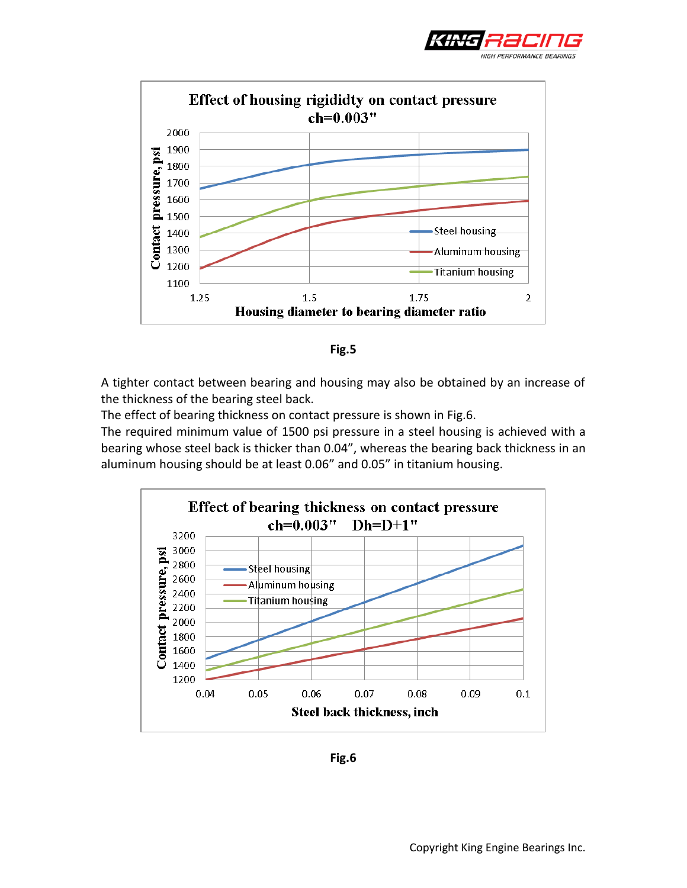





A tighter contact between bearing and housing may also be obtained by an increase of the thickness of the bearing steel back.

The effect of bearing thickness on contact pressure is shown in Fig.6.

The required minimum value of 1500 psi pressure in a steel housing is achieved with a bearing whose steel back is thicker than 0.04", whereas the bearing back thickness in an aluminum housing should be at least 0.06" and 0.05" in titanium housing.



**Fig.6**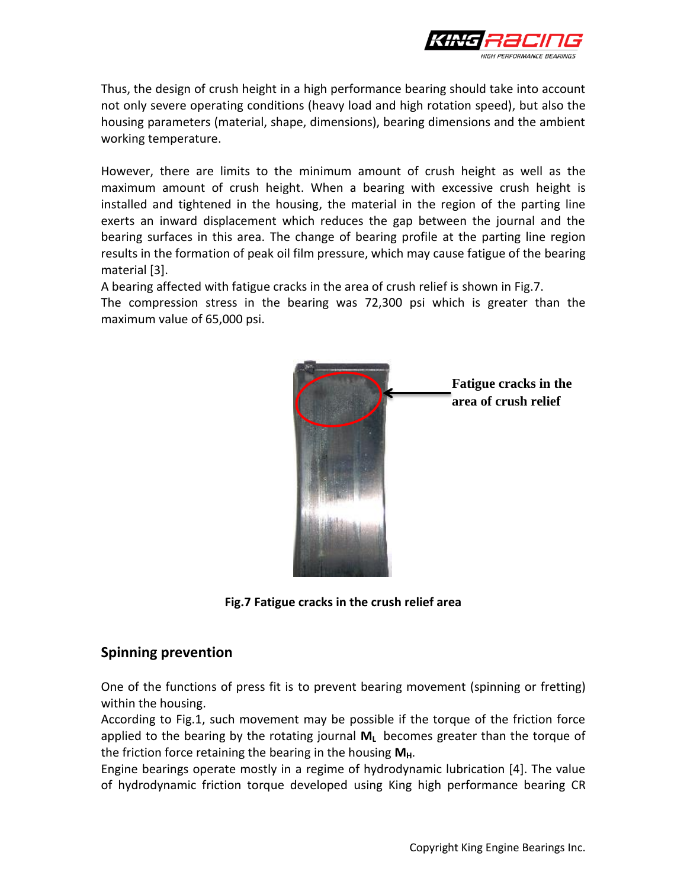

Thus, the design of crush height in a high performance bearing should take into account not only severe operating conditions (heavy load and high rotation speed), but also the housing parameters (material, shape, dimensions), bearing dimensions and the ambient working temperature.

However, there are limits to the minimum amount of crush height as well as the maximum amount of crush height. When a bearing with excessive crush height is installed and tightened in the housing, the material in the region of the parting line exerts an inward displacement which reduces the gap between the journal and the bearing surfaces in this area. The change of bearing profile at the parting line region results in the formation of peak oil film pressure, which may cause fatigue of the bearing material [3].

A bearing affected with fatigue cracks in the area of crush relief is shown in Fig.7. The compression stress in the bearing was 72,300 psi which is greater than the maximum value of 65,000 psi.



**Fig.7 Fatigue cracks in the crush relief area**

#### **Spinning prevention**

One of the functions of press fit is to prevent bearing movement (spinning or fretting) within the housing.

According to Fig.1, such movement may be possible if the torque of the friction force applied to the bearing by the rotating journal **M<sup>L</sup>** becomes greater than the torque of the friction force retaining the bearing in the housing M<sub>H</sub>.

Engine bearings operate mostly in a regime of hydrodynamic lubrication [4]. The value of hydrodynamic friction torque developed using King high performance bearing CR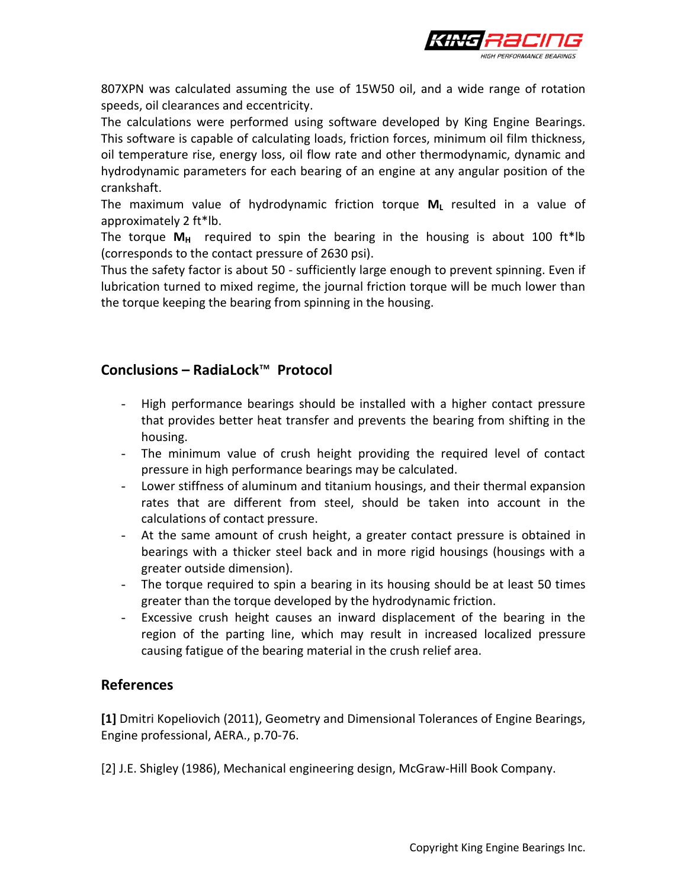

807XPN was calculated assuming the use of 15W50 oil, and a wide range of rotation speeds, oil clearances and eccentricity.

The calculations were performed using software developed by King Engine Bearings. This software is capable of calculating loads, friction forces, minimum oil film thickness, oil temperature rise, energy loss, oil flow rate and other thermodynamic, dynamic and hydrodynamic parameters for each bearing of an engine at any angular position of the crankshaft.

The maximum value of hydrodynamic friction torque **M<sup>L</sup>** resulted in a value of approximately 2 ft\*lb.

The torque  $M_H$  required to spin the bearing in the housing is about 100 ft\*lb (corresponds to the contact pressure of 2630 psi).

Thus the safety factor is about 50 - sufficiently large enough to prevent spinning. Even if lubrication turned to mixed regime, the journal friction torque will be much lower than the torque keeping the bearing from spinning in the housing.

## **Conclusions – RadiaLock**™ **Protocol**

- High performance bearings should be installed with a higher contact pressure that provides better heat transfer and prevents the bearing from shifting in the housing.
- The minimum value of crush height providing the required level of contact pressure in high performance bearings may be calculated.
- Lower stiffness of aluminum and titanium housings, and their thermal expansion rates that are different from steel, should be taken into account in the calculations of contact pressure.
- At the same amount of crush height, a greater contact pressure is obtained in bearings with a thicker steel back and in more rigid housings (housings with a greater outside dimension).
- The torque required to spin a bearing in its housing should be at least 50 times greater than the torque developed by the hydrodynamic friction.
- Excessive crush height causes an inward displacement of the bearing in the region of the parting line, which may result in increased localized pressure causing fatigue of the bearing material in the crush relief area.

### **References**

**[1]** Dmitri Kopeliovich (2011), Geometry and Dimensional Tolerances of Engine Bearings, Engine professional, AERA., p.70-76.

[2] J.E. Shigley (1986), Mechanical engineering design, McGraw-Hill Book Company.